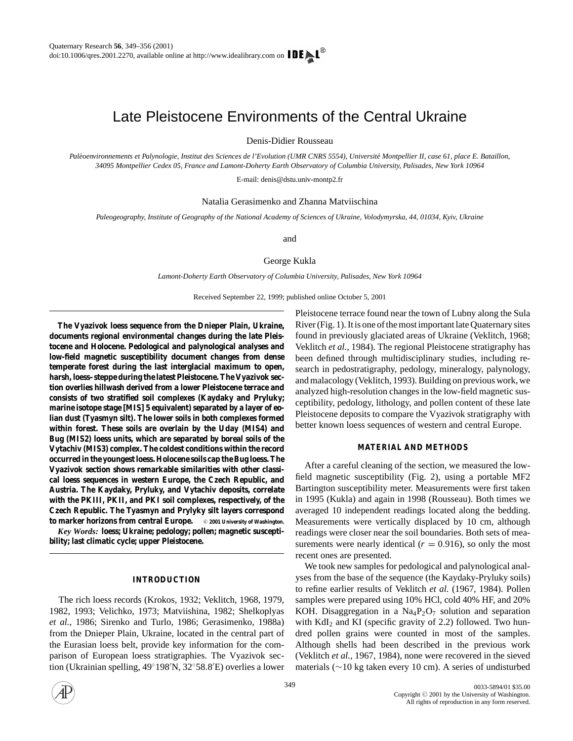# Late Pleistocene Environments of the Central Ukraine

Denis-Didier Rousseau

Paléoenvironnements et Palynologie, Institut des Sciences de l'Evolution (UMR CNRS 5554), Université Montpellier II, case 61, place E. Bataillon, *34095 Montpellier Cedex 05, France and Lamont-Doherty Earth Observatory of Columbia University, Palisades, New York 10964*

E-mail: denis@dstu.univ-montp2.fr

Natalia Gerasimenko and Zhanna Matviischina

*Paleogeography, Institute of Geography of the National Academy of Sciences of Ukraine, Volodymyrska, 44, 01034, Kyiv, Ukraine*

and

George Kukla

*Lamont-Doherty Earth Observatory of Columbia University, Palisades, New York 10964*

Received September 22, 1999; published online October 5, 2001

**The Vyazivok loess sequence from the Dnieper Plain, Ukraine, documents regional environmental changes during the late Pleistocene and Holocene. Pedological and palynological analyses and low-field magnetic susceptibility document changes from dense temperate forest during the last interglacial maximum to open, harsh, loess–steppe during the latest Pleistocene. The Vyazivok section overlies hillwash derived from a lower Pleistocene terrace and consists of two stratified soil complexes (Kaydaky and Pryluky; marine isotope stage [MIS] 5 equivalent) separated by a layer of eolian dust (Tyasmyn silt). The lower soils in both complexes formed within forest. These soils are overlain by the Uday (MIS4) and Bug (MIS2) loess units, which are separated by boreal soils of the Vytachiv (MIS3) complex. The coldest conditions within the record occurred in the youngest loess. Holocene soils cap the Bug loess. The Vyazivok section shows remarkable similarities with other classical loess sequences in western Europe, the Czech Republic, and Austria. The Kaydaky, Pryluky, and Vytachiv deposits, correlate with the PKIII, PKII, and PKI soil complexes, respectively, of the Czech Republic. The Tyasmyn and Prylyky silt layers correspond to marker horizons from central Europe.** © 2001 University of Washington. *Key Words:* **loess; Ukraine; pedology; pollen; magnetic suscepti-**

**bility; last climatic cycle; upper Pleistocene.**

# **INTRODUCTION**

The rich loess records (Krokos, 1932; Veklitch, 1968, 1979, 1982, 1993; Velichko, 1973; Matviishina, 1982; Shelkoplyas *et al.*, 1986; Sirenko and Turlo, 1986; Gerasimenko, 1988a) from the Dnieper Plain, Ukraine, located in the central part of the Eurasian loess belt, provide key information for the comparison of European loess stratigraphies. The Vyazivok section (Ukrainian spelling, 49°198′N, 32°58.8′E) overlies a lower

Pleistocene terrace found near the town of Lubny along the Sula River (Fig. 1). It is one of the most important late Quaternary sites found in previously glaciated areas of Ukraine (Veklitch, 1968; Veklitch *et al.*, 1984). The regional Pleistocene stratigraphy has been defined through multidisciplinary studies, including research in pedostratigraphy, pedology, mineralogy, palynology, and malacology (Veklitch, 1993). Building on previous work, we analyzed high-resolution changes in the low-field magnetic susceptibility, pedology, lithology, and pollen content of these late Pleistocene deposits to compare the Vyazivok stratigraphy with better known loess sequences of western and central Europe.

## **MATERIAL AND METHODS**

After a careful cleaning of the section, we measured the lowfield magnetic susceptibility (Fig. 2), using a portable MF2 Bartington susceptibility meter. Measurements were first taken in 1995 (Kukla) and again in 1998 (Rousseau). Both times we averaged 10 independent readings located along the bedding. Measurements were vertically displaced by 10 cm, although readings were closer near the soil boundaries. Both sets of measurements were nearly identical  $(r = 0.916)$ , so only the most recent ones are presented.

We took new samples for pedological and palynological analyses from the base of the sequence (the Kaydaky-Pryluky soils) to refine earlier results of Veklitch *et al.* (1967, 1984). Pollen samples were prepared using 10% HCl, cold 40% HF, and 20% KOH. Disaggregation in a  $\text{Na}_4\text{P}_2\text{O}_7$  solution and separation with  $KdI_2$  and KI (specific gravity of 2.2) followed. Two hundred pollen grains were counted in most of the samples. Although shells had been described in the previous work (Veklitch *et al.*, 1967, 1984), none were recovered in the sieved materials (∼10 kg taken every 10 cm). A series of undisturbed

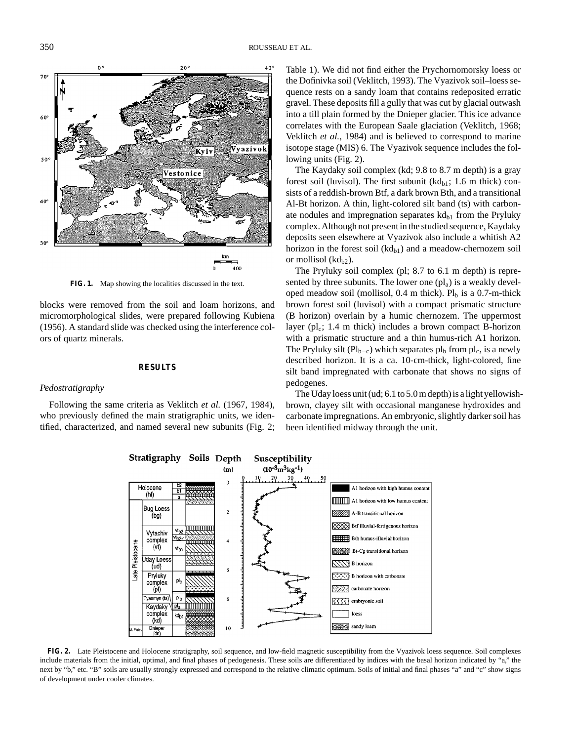

**FIG. 1.** Map showing the localities discussed in the text.

blocks were removed from the soil and loam horizons, and micromorphological slides, were prepared following Kubiena (1956). A standard slide was checked using the interference colors of quartz minerals.

# **RESULTS**

#### *Pedostratigraphy*

Following the same criteria as Veklitch *et al.* (1967, 1984), who previously defined the main stratigraphic units, we identified, characterized, and named several new subunits (Fig. 2; Table 1). We did not find either the Prychornomorsky loess or the Dofinivka soil (Veklitch, 1993). The Vyazivok soil–loess sequence rests on a sandy loam that contains redeposited erratic gravel. These deposits fill a gully that was cut by glacial outwash into a till plain formed by the Dnieper glacier. This ice advance correlates with the European Saale glaciation (Veklitch, 1968; Veklitch *et al.*, 1984) and is believed to correspond to marine isotope stage (MIS) 6. The Vyazivok sequence includes the following units (Fig. 2).

The Kaydaky soil complex (kd; 9.8 to 8.7 m depth) is a gray forest soil (luvisol). The first subunit  $(kd_{b1}; 1.6 \text{ m thick})$  consists of a reddish-brown Btf, a dark brown Bth, and a transitional Al-Bt horizon. A thin, light-colored silt band (ts) with carbonate nodules and impregnation separates  $kd_{h1}$  from the Pryluky complex. Although not present in the studied sequence, Kaydaky deposits seen elsewhere at Vyazivok also include a whitish A2 horizon in the forest soil  $(kd_{h1})$  and a meadow-chernozem soil or mollisol  $(kd_{h2})$ .

The Pryluky soil complex (pl; 8.7 to 6.1 m depth) is represented by three subunits. The lower one  $\left(\text{pl}_a\right)$  is a weakly developed meadow soil (mollisol,  $0.4$  m thick). Pl<sub>b</sub> is a 0.7-m-thick brown forest soil (luvisol) with a compact prismatic structure (B horizon) overlain by a humic chernozem. The uppermost layer ( $pl_c$ ; 1.4 m thick) includes a brown compact B-horizon with a prismatic structure and a thin humus-rich A1 horizon. The Pryluky silt ( $Pl_{b-c}$ ) which separates  $pl_b$  from  $pl_c$ , is a newly described horizon. It is a ca. 10-cm-thick, light-colored, fine silt band impregnated with carbonate that shows no signs of pedogenes.

The Uday loess unit (ud; 6.1 to 5.0 m depth) is a light yellowishbrown, clayey silt with occasional manganese hydroxides and carbonate impregnations. An embryonic, slightly darker soil has been identified midway through the unit.



**FIG. 2.** Late Pleistocene and Holocene stratigraphy, soil sequence, and low-field magnetic susceptibility from the Vyazivok loess sequence. Soil complexes include materials from the initial, optimal, and final phases of pedogenesis. These soils are differentiated by indices with the basal horizon indicated by "a," the next by "b," etc. "B" soils are usually strongly expressed and correspond to the relative climatic optimum. Soils of initial and final phases "a" and "c" show signs of development under cooler climates.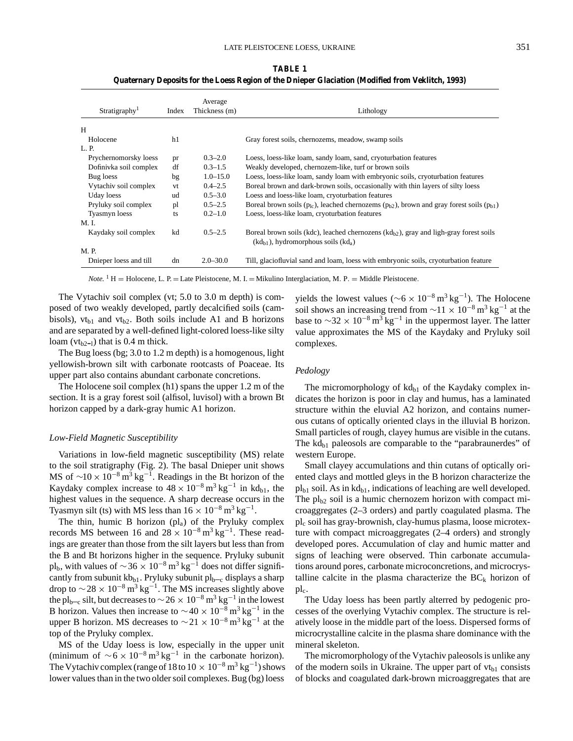**TABLE 1 Quaternary Deposits for the Loess Region of the Dnieper Glaciation (Modified from Veklitch, 1993)**

| Stratigraphy <sup>1</sup> | Index | Average<br>Thickness (m) | Lithology                                                                                                                                       |  |
|---------------------------|-------|--------------------------|-------------------------------------------------------------------------------------------------------------------------------------------------|--|
| H                         |       |                          |                                                                                                                                                 |  |
|                           |       |                          |                                                                                                                                                 |  |
| Holocene                  | h1    |                          | Gray forest soils, chernozems, meadow, swamp soils                                                                                              |  |
| L. P.                     |       |                          |                                                                                                                                                 |  |
| Prychernomorsky loess     | pr    | $0.3 - 2.0$              | Loess, loess-like loam, sandy loam, sand, cryoturbation features                                                                                |  |
| Dofinivka soil complex    | df    | $0.3 - 1.5$              | Weakly developed, chernozem-like, turf or brown soils                                                                                           |  |
| Bug loess                 | bg    | $1.0 - 15.0$             | Loess, loess-like loam, sandy loam with embryonic soils, cryoturbation features                                                                 |  |
| Vytachiv soil complex     | vt    | $0.4 - 2.5$              | Boreal brown and dark-brown soils, occasionally with thin layers of silty loess                                                                 |  |
| Uday loess                | ud    | $0.5 - 3.0$              | Loess and loess-like loam, cryoturbation features                                                                                               |  |
| Pryluky soil complex      | pl    | $0.5 - 2.5$              | Boreal brown soils $(p_{1c})$ , leached chernozems $(p_{b2})$ , brown and gray forest soils $(p_{b1})$                                          |  |
| Tyasmyn loess             | ts    | $0.2 - 1.0$              | Loess, loess-like loam, cryoturbation features                                                                                                  |  |
| M. I.                     |       |                          |                                                                                                                                                 |  |
| Kaydaky soil complex      | kd    | $0.5 - 2.5$              | Boreal brown soils (kdc), leached chernozens (kd <sub>b2</sub> ), gray and ligh-gray forest soils<br>$(kd_{b1})$ , hydromorphous soils $(kd_a)$ |  |
| M. P.                     |       |                          |                                                                                                                                                 |  |
| Dnieper loess and till    | dn    | $2.0 - 30.0$             | Till, glaciofluvial sand and loam, loess with embryonic soils, cryoturbation feature                                                            |  |

*Note.* <sup>1</sup> H = Holocene, L. P. = Late Pleistocene, M. I. = Mikulino Interglaciation, M. P. = Middle Pleistocene.

The Vytachiv soil complex (vt; 5.0 to 3.0 m depth) is composed of two weakly developed, partly decalcified soils (cambisols),  $vt_{b1}$  and  $vt_{b2}$ . Both soils include A1 and B horizons and are separated by a well-defined light-colored loess-like silty loam ( $vt_{b2-1}$ ) that is 0.4 m thick.

The Bug loess (bg; 3.0 to 1.2 m depth) is a homogenous, light yellowish-brown silt with carbonate rootcasts of Poaceae. Its upper part also contains abundant carbonate concretions.

The Holocene soil complex (h1) spans the upper 1.2 m of the section. It is a gray forest soil (alfisol, luvisol) with a brown Bt horizon capped by a dark-gray humic A1 horizon.

#### *Low-Field Magnetic Susceptibility*

Variations in low-field magnetic susceptibility (MS) relate to the soil stratigraphy (Fig. 2). The basal Dnieper unit shows MS of  $\sim$ 10 × 10<sup>-8</sup> m<sup>3</sup> kg<sup>-1</sup>. Readings in the Bt horizon of the Kaydaky complex increase to  $48 \times 10^{-8}$  m<sup>3</sup> kg<sup>-1</sup> in kd<sub>b1</sub>, the highest values in the sequence. A sharp decrease occurs in the Tyasmyn silt (ts) with MS less than  $16 \times 10^{-8}$  m<sup>3</sup> kg<sup>-1</sup>.

The thin, humic B horizon  $\langle pl_a \rangle$  of the Pryluky complex records MS between 16 and  $28 \times 10^{-8}$  m<sup>3</sup> kg<sup>-1</sup>. These readings are greater than those from the silt layers but less than from the B and Bt horizons higher in the sequence. Pryluky subunit pl<sub>b</sub>, with values of  $\sim$  36 × 10<sup>-8</sup> m<sup>3</sup> kg<sup>-1</sup> does not differ significantly from subunit  $kb_{b1}$ . Pryluky subunit  $pl_{b-c}$  displays a sharp drop to  $\sim$  28 × 10<sup>-8</sup> m<sup>3</sup> kg<sup>-1</sup>. The MS increases slightly above the pl<sub>b—c</sub> silt, but decreases to  $\sim$  26 × 10<sup>-8</sup> m<sup>3</sup> kg<sup>-1</sup> in the lowest B horizon. Values then increase to  $\sim$ 40 × 10<sup>-8</sup> m<sup>3</sup> kg<sup>-1</sup> in the upper B horizon. MS decreases to  $\sim$ 21 × 10<sup>-8</sup> m<sup>3</sup> kg<sup>-1</sup> at the top of the Pryluky complex.

MS of the Uday loess is low, especially in the upper unit (minimum of  $\sim 6 \times 10^{-8}$  m<sup>3</sup> kg<sup>-1</sup> in the carbonate horizon). The Vytachiv complex (range of 18 to  $10 \times 10^{-8}$  m<sup>3</sup> kg<sup>-1</sup>) shows lower values than in the two older soil complexes. Bug (bg) loess

yields the lowest values ( $\sim$ 6 × 10<sup>-8</sup> m<sup>3</sup> kg<sup>-1</sup>). The Holocene soil shows an increasing trend from  $\sim$ 11 × 10<sup>-8</sup> m<sup>3</sup> kg<sup>-1</sup> at the base to  $\sim$ 32 × 10<sup>-8</sup> m<sup>3</sup> kg<sup>-1</sup> in the uppermost layer. The latter value approximates the MS of the Kaydaky and Pryluky soil complexes.

#### *Pedology*

The micromorphology of  $kd_{b1}$  of the Kaydaky complex indicates the horizon is poor in clay and humus, has a laminated structure within the eluvial A2 horizon, and contains numerous cutans of optically oriented clays in the illuvial B horizon. Small particles of rough, clayey humus are visible in the cutans. The  $\mathrm{kd}_{b1}$  paleosols are comparable to the "parabraunerdes" of western Europe.

Small clayey accumulations and thin cutans of optically oriented clays and mottled gleys in the B horizon characterize the  $pl_{b1}$  soil. As in  $kd_{b1}$ , indications of leaching are well developed. The  $pl<sub>b2</sub>$  soil is a humic chernozem horizon with compact microaggregates (2–3 orders) and partly coagulated plasma. The plc soil has gray-brownish, clay-humus plasma, loose microtexture with compact microaggregates (2–4 orders) and strongly developed pores. Accumulation of clay and humic matter and signs of leaching were observed. Thin carbonate accumulations around pores, carbonate microconcretions, and microcrystalline calcite in the plasma characterize the  $BC_k$  horizon of  $\mathbf{p}$ l<sub>c</sub>.

The Uday loess has been partly alterred by pedogenic processes of the overlying Vytachiv complex. The structure is relatively loose in the middle part of the loess. Dispersed forms of microcrystalline calcite in the plasma share dominance with the mineral skeleton.

The micromorphology of the Vytachiv paleosols is unlike any of the modern soils in Ukraine. The upper part of  $vt_{b1}$  consists of blocks and coagulated dark-brown microaggregates that are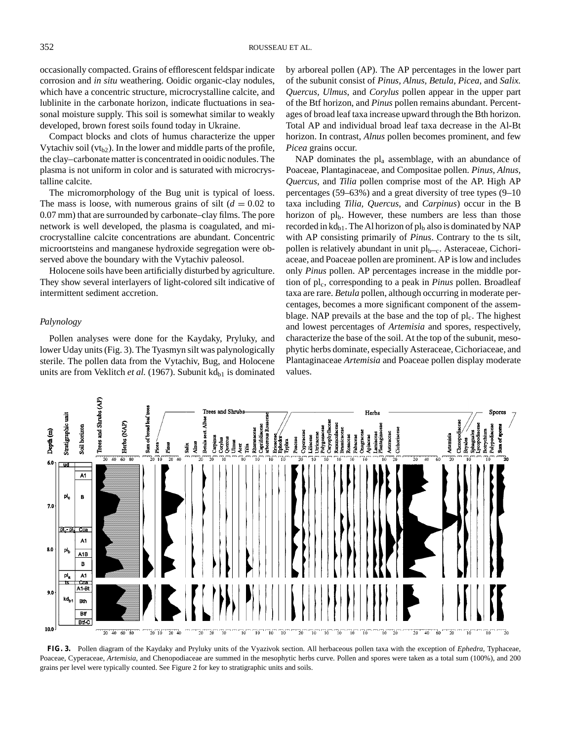occasionally compacted. Grains of efflorescent feldspar indicate corrosion and *in situ* weathering. Ooidic organic-clay nodules, which have a concentric structure, microcrystalline calcite, and lublinite in the carbonate horizon, indicate fluctuations in seasonal moisture supply. This soil is somewhat similar to weakly developed, brown forest soils found today in Ukraine.

Compact blocks and clots of humus characterize the upper Vytachiv soil ( $vt_{h2}$ ). In the lower and middle parts of the profile, the clay–carbonate matter is concentrated in ooidic nodules. The plasma is not uniform in color and is saturated with microcrystalline calcite.

The micromorphology of the Bug unit is typical of loess. The mass is loose, with numerous grains of silt  $(d = 0.02$  to 0.07 mm) that are surrounded by carbonate–clay films. The pore network is well developed, the plasma is coagulated, and microcrystalline calcite concentrations are abundant. Concentric microortsteins and manganese hydroxide segregation were observed above the boundary with the Vytachiv paleosol.

Holocene soils have been artificially disturbed by agriculture. They show several interlayers of light-colored silt indicative of intermittent sediment accretion.

#### *Palynology*

Pollen analyses were done for the Kaydaky, Pryluky, and lower Uday units (Fig. 3). The Tyasmyn silt was palynologically sterile. The pollen data from the Vytachiv, Bug, and Holocene units are from Veklitch et al. (1967). Subunit kd<sub>b1</sub> is dominated

by arboreal pollen (AP). The AP percentages in the lower part of the subunit consist of *Pinus, Alnus, Betula, Picea*, and *Salix. Quercus, Ulmus*, and *Corylus* pollen appear in the upper part of the Btf horizon, and *Pinus* pollen remains abundant. Percentages of broad leaf taxa increase upward through the Bth horizon. Total AP and individual broad leaf taxa decrease in the Al-Bt horizon. In contrast, *Alnus* pollen becomes prominent, and few *Picea* grains occur.

NAP dominates the  $pl_a$  assemblage, with an abundance of Poaceae, Plantaginaceae, and Compositae pollen. *Pinus, Alnus, Quercus*, and *Tilia* pollen comprise most of the AP. High AP percentages (59–63%) and a great diversity of tree types (9–10 taxa including *Tilia, Quercus*, and *Carpinus*) occur in the B horizon of  $pl_b$ . However, these numbers are less than those recorded in  $\mathrm{kd}_{\mathrm{bl}}$ . The Al horizon of pl<sub>b</sub> also is dominated by NAP with AP consisting primarily of *Pinus*. Contrary to the ts silt, pollen is relatively abundant in unit  $pl<sub>b-c</sub>$ . Asteraceae, Cichoriaceae, and Poaceae pollen are prominent. AP is low and includes only *Pinus* pollen. AP percentages increase in the middle portion of pl<sub>c</sub>, corresponding to a peak in *Pinus* pollen. Broadleaf taxa are rare. *Betula* pollen, although occurring in moderate percentages, becomes a more significant component of the assemblage. NAP prevails at the base and the top of  $pl<sub>c</sub>$ . The highest and lowest percentages of *Artemisia* and spores, respectively, characterize the base of the soil. At the top of the subunit, mesophytic herbs dominate, especially Asteraceae, Cichoriaceae, and Plantaginaceae *Artemisia* and Poaceae pollen display moderate values.



**FIG. 3.** Pollen diagram of the Kaydaky and Pryluky units of the Vyazivok section. All herbaceous pollen taxa with the exception of *Ephedra*, Typhaceae, Poaceae, Cyperaceae, *Artemisia*, and Chenopodiaceae are summed in the mesophytic herbs curve. Pollen and spores were taken as a total sum (100%), and 200 grains per level were typically counted. See Figure 2 for key to stratigraphic units and soils.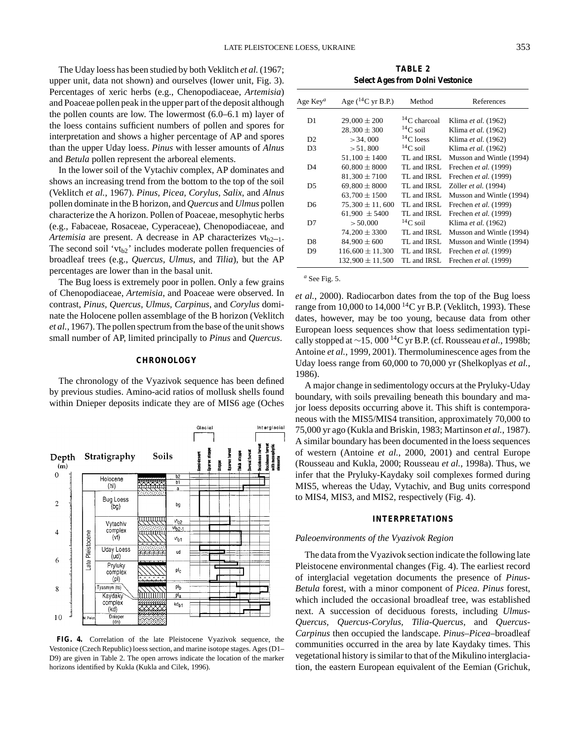The Uday loess has been studied by both Veklitch *et al.* (1967; upper unit, data not shown) and ourselves (lower unit, Fig. 3). Percentages of xeric herbs (e.g., Chenopodiaceae, *Artemisia*) and Poaceae pollen peak in the upper part of the deposit although the pollen counts are low. The lowermost (6.0–6.1 m) layer of the loess contains sufficient numbers of pollen and spores for interpretation and shows a higher percentage of AP and spores than the upper Uday loess. *Pinus* with lesser amounts of *Alnus* and *Betula* pollen represent the arboreal elements.

In the lower soil of the Vytachiv complex, AP dominates and shows an increasing trend from the bottom to the top of the soil (Veklitch *et al.*, 1967). *Pinus, Picea, Corylus, Salix*, and *Alnus* pollen dominate in the B horizon, and *Quercus* and *Ulmus* pollen characterize the A horizon. Pollen of Poaceae, mesophytic herbs (e.g., Fabaceae, Rosaceae, Cyperaceae), Chenopodiaceae, and *Artemisia* are present. A decrease in AP characterizes  $vt_{b2-1}$ . The second soil ' $vt_{h2}$ ' includes moderate pollen frequencies of broadleaf trees (e.g., *Quercus, Ulmus*, and *Tilia*), but the AP percentages are lower than in the basal unit.

The Bug loess is extremely poor in pollen. Only a few grains of Chenopodiaceae, *Artemisia*, and Poaceae were observed. In contrast, *Pinus, Quercus, Ulmus, Carpinus*, and *Corylus* dominate the Holocene pollen assemblage of the B horizon (Veklitch *et al.*, 1967). The pollen spectrum from the base of the unit shows small number of AP, limited principally to *Pinus* and *Quercus*.

#### **CHRONOLOGY**

The chronology of the Vyazivok sequence has been defined by previous studies. Amino-acid ratios of mollusk shells found within Dnieper deposits indicate they are of MIS6 age (Oches



**FIG. 4.** Correlation of the late Pleistocene Vyazivok sequence, the Vestonice (Czech Republic) loess section, and marine isotope stages. Ages (D1– D9) are given in Table 2. The open arrows indicate the location of the marker horizons identified by Kukla (Kukla and Cilek, 1996).

**TABLE 2 Select Ages from Dolni Vestonice**

| Age Key <sup>a</sup> | Age $(^{14}C$ yr B.P.) | Method              | References               |
|----------------------|------------------------|---------------------|--------------------------|
| D1                   | $29,000 \pm 200$       | ${}^{14}C$ charcoal | Klima et al. (1962)      |
|                      | $28,300 \pm 300$       | $^{14}$ C soil      | Klima et al. (1962)      |
| D2                   | > 34,000               | ${}^{14}C$ loess    | Klima et al. (1962)      |
| D <sub>3</sub>       | > 51,800               | $^{14}$ C soil      | Klima et al. (1962)      |
|                      | $51,100 \pm 1400$      | TL and IRSL         | Musson and Wintle (1994) |
| D <sub>4</sub>       | $60,800 \pm 8000$      | TL and IRSL         | Frechen et al. (1999)    |
|                      | $81.300 \pm 7100$      | TL and IRSL         | Frechen et al. (1999)    |
| D <sub>5</sub>       | $69,800 \pm 8000$      | TL and IRSL.        | Zöller et al. (1994)     |
|                      | $63,700 \pm 1500$      | TL and IRSL.        | Musson and Wintle (1994) |
| D <sub>6</sub>       | $75,300 \pm 11,600$    | TL and IRSL         | Frechen et al. (1999)    |
|                      | $61,900 \pm 5400$      | TL and IRSL         | Frechen et al. (1999)    |
| D7                   | > 50,000               | ${}^{14}C$ soil     | Klima et al. (1962)      |
|                      | $74,200 \pm 3300$      | TL and IRSL         | Musson and Wintle (1994) |
| D <sup>8</sup>       | $84.900 \pm 600$       | TL and IRSL         | Musson and Wintle (1994) |
| D9                   | $116,600 \pm 11,300$   | TL and IRSL         | Frechen et al. (1999)    |
|                      | $132.900 \pm 11.500$   | TL and IRSL         | Frechen et al. (1999)    |

*<sup>a</sup>* See Fig. 5.

*et al.*, 2000). Radiocarbon dates from the top of the Bug loess range from 10,000 to 14,000  $^{14}$ C yr B.P. (Veklitch, 1993). These dates, however, may be too young, because data from other European loess sequences show that loess sedimentation typically stopped at <sup>∼</sup>15, <sup>000</sup> 14C yr B.P. (cf. Rousseau *et al.*, 1998b; Antoine *et al.*, 1999, 2001). Thermoluminescence ages from the Uday loess range from 60,000 to 70,000 yr (Shelkoplyas *et al.*, 1986).

A major change in sedimentology occurs at the Pryluky-Uday boundary, with soils prevailing beneath this boundary and major loess deposits occurring above it. This shift is contemporaneous with the MIS5/MIS4 transition, approximately 70,000 to 75,000 yr ago (Kukla and Briskin, 1983; Martinson *et al.*, 1987). A similar boundary has been documented in the loess sequences of western (Antoine *et al.*, 2000, 2001) and central Europe (Rousseau and Kukla, 2000; Rousseau *et al.*, 1998a). Thus, we infer that the Pryluky-Kaydaky soil complexes formed during MIS5, whereas the Uday, Vytachiv, and Bug units correspond to MIS4, MIS3, and MIS2, respectively (Fig. 4).

## **INTERPRETATIONS**

#### *Paleoenvironments of the Vyazivok Region*

The data from the Vyazivok section indicate the following late Pleistocene environmental changes (Fig. 4). The earliest record of interglacial vegetation documents the presence of *Pinus*-*Betula* forest, with a minor component of *Picea*. *Pinus* forest, which included the occasional broadleaf tree, was established next. A succession of deciduous forests, including *Ulmus-Quercus, Quercus-Corylus, Tilia-Quercus*, and *Quercus-Carpinus* then occupied the landscape. *Pinus*–*Picea*–broadleaf communities occurred in the area by late Kaydaky times. This vegetational history is similar to that of the Mikulino interglaciation, the eastern European equivalent of the Eemian (Grichuk,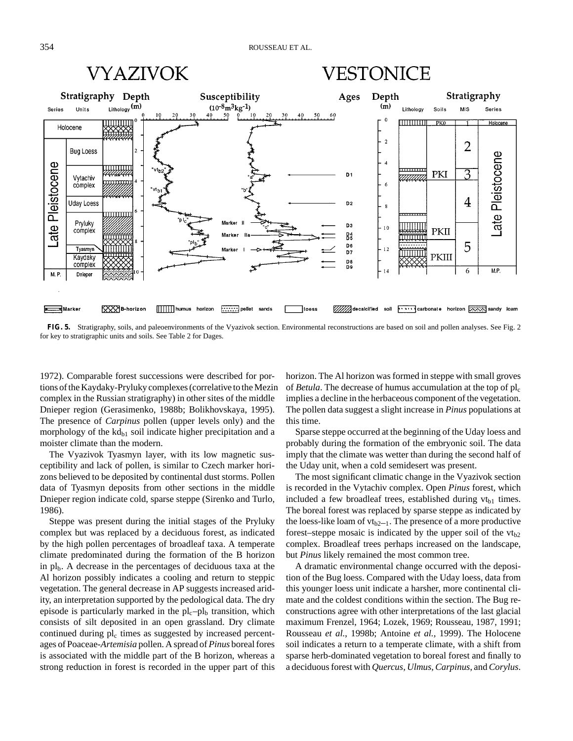

# VESTONICE



**FIG. 5.** Stratigraphy, soils, and paleoenvironments of the Vyazivok section. Environmental reconstructions are based on soil and pollen analyses. See Fig. 2 for key to stratigraphic units and soils. See Table 2 for Dages.

1972). Comparable forest successions were described for portions of the Kaydaky-Pryluky complexes (correlative to the Mezin complex in the Russian stratigraphy) in other sites of the middle Dnieper region (Gerasimenko, 1988b; Bolikhovskaya, 1995). The presence of *Carpinus* pollen (upper levels only) and the morphology of the  $kd_{b1}$  soil indicate higher precipitation and a moister climate than the modern.

The Vyazivok Tyasmyn layer, with its low magnetic susceptibility and lack of pollen, is similar to Czech marker horizons believed to be deposited by continental dust storms. Pollen data of Tyasmyn deposits from other sections in the middle Dnieper region indicate cold, sparse steppe (Sirenko and Turlo, 1986).

Steppe was present during the initial stages of the Pryluky complex but was replaced by a deciduous forest, as indicated by the high pollen percentages of broadleaf taxa. A temperate climate predominated during the formation of the B horizon in  $pl<sub>b</sub>$ . A decrease in the percentages of deciduous taxa at the Al horizon possibly indicates a cooling and return to steppic vegetation. The general decrease in AP suggests increased aridity, an interpretation supported by the pedological data. The dry episode is particularly marked in the  $pl<sub>c</sub>-pl<sub>b</sub>$  transition, which consists of silt deposited in an open grassland. Dry climate continued during  $pl_c$  times as suggested by increased percentages of Poaceae-*Artemisia* pollen. A spread of *Pinus* boreal fores is associated with the middle part of the B horizon, whereas a strong reduction in forest is recorded in the upper part of this

horizon. The Al horizon was formed in steppe with small groves of *Betula*. The decrease of humus accumulation at the top of  $pl_c$ implies a decline in the herbaceous component of the vegetation. The pollen data suggest a slight increase in *Pinus* populations at this time.

Sparse steppe occurred at the beginning of the Uday loess and probably during the formation of the embryonic soil. The data imply that the climate was wetter than during the second half of the Uday unit, when a cold semidesert was present.

The most significant climatic change in the Vyazivok section is recorded in the Vytachiv complex. Open *Pinus* forest, which included a few broadleaf trees, established during  $vt_{b1}$  times. The boreal forest was replaced by sparse steppe as indicated by the loess-like loam of  $vt_{b2-1}$ . The presence of a more productive forest–steppe mosaic is indicated by the upper soil of the  $vt_{b2}$ complex. Broadleaf trees perhaps increased on the landscape, but *Pinus* likely remained the most common tree.

A dramatic environmental change occurred with the deposition of the Bug loess. Compared with the Uday loess, data from this younger loess unit indicate a harsher, more continental climate and the coldest conditions within the section. The Bug reconstructions agree with other interpretations of the last glacial maximum Frenzel, 1964; Lozek, 1969; Rousseau, 1987, 1991; Rousseau *et al.*, 1998b; Antoine *et al.*, 1999). The Holocene soil indicates a return to a temperate climate, with a shift from sparse herb-dominated vegetation to boreal forest and finally to a deciduous forest with *Quercus, Ulmus, Carpinus*, and *Corylus*.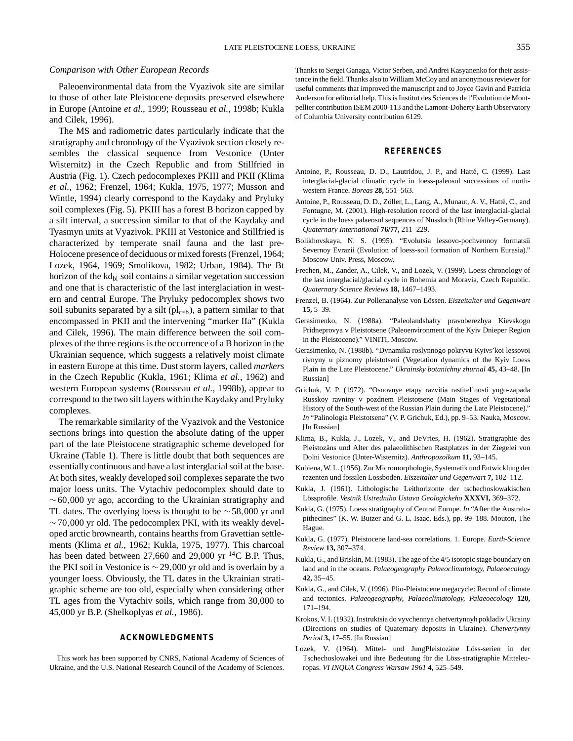#### *Comparison with Other European Records*

Paleoenvironmental data from the Vyazivok site are similar to those of other late Pleistocene deposits preserved elsewhere in Europe (Antoine *et al.*, 1999; Rousseau *et al.*, 1998b; Kukla and Cilek, 1996).

The MS and radiometric dates particularly indicate that the stratigraphy and chronology of the Vyazivok section closely resembles the classical sequence from Vestonice (Unter Wisternitz) in the Czech Republic and from Stillfried in Austria (Fig. 1). Czech pedocomplexes PKIII and PKII (Klima *et al.*, 1962; Frenzel, 1964; Kukla, 1975, 1977; Musson and Wintle, 1994) clearly correspond to the Kaydaky and Pryluky soil complexes (Fig. 5). PKIII has a forest B horizon capped by a silt interval, a succession similar to that of the Kaydaky and Tyasmyn units at Vyazivok. PKIII at Vestonice and Stillfried is characterized by temperate snail fauna and the last pre-Holocene presence of deciduous or mixed forests (Frenzel, 1964; Lozek, 1964, 1969; Smolikova, 1982; Urban, 1984). The Bt horizon of the  $kd_{bl}$  soil contains a similar vegetation succession and one that is characteristic of the last interglaciation in western and central Europe. The Pryluky pedocomplex shows two soil subunits separated by a silt  $\rm (pl_{c-b})$ , a pattern similar to that encompassed in PKII and the intervening "marker IIa" (Kukla and Cilek, 1996). The main difference between the soil complexes of the three regions is the occurrence of a B horizon in the Ukrainian sequence, which suggests a relatively moist climate in eastern Europe at this time. Dust storm layers, called *markers* in the Czech Republic (Kukla, 1961; Klima *et al.*, 1962) and western European systems (Rousseau *et al.*, 1998b), appear to correspond to the two silt layers within the Kaydaky and Pryluky complexes.

The remarkable similarity of the Vyazivok and the Vestonice sections brings into question the absolute dating of the upper part of the late Pleistocene stratigraphic scheme developed for Ukraine (Table 1). There is little doubt that both sequences are essentially continuous and have a last interglacial soil at the base. At both sites, weakly developed soil complexes separate the two major loess units. The Vytachiv pedocomplex should date to  $~\sim$  60,000 yr ago, according to the Ukrainian stratigraphy and TL dates. The overlying loess is thought to be ∼58,000 yr and  $~\sim$  70,000 yr old. The pedocomplex PKI, with its weakly developed arctic brownearth, contains hearths from Gravettian settlements (Klima *et al.*, 1962; Kukla, 1975, 1977). This charcoal has been dated between 27,660 and 29,000 yr <sup>14</sup>C B.P. Thus, the PKI soil in Vestonice is ∼29,000 yr old and is overlain by a younger loess. Obviously, the TL dates in the Ukrainian stratigraphic scheme are too old, especially when considering other TL ages from the Vytachiv soils, which range from 30,000 to 45,000 yr B.P. (Shelkoplyas *et al.*, 1986).

#### **ACKNOWLEDGMENTS**

This work has been supported by CNRS, National Academy of Sciences of Ukraine, and the U.S. National Research Council of the Academy of Sciences. Thanks to Sergei Ganaga, Victor Serben, and Andrei Kasyanenko for their assistance in the field. Thanks also to William McCoy and an anonymous reviewer for useful comments that improved the manuscript and to Joyce Gavin and Patricia Anderson for editorial help. This is Institut des Sciences de l'Evolution de Montpellier contribution ISEM 2000-113 and the Lamont-Doherty Earth Observatory of Columbia University contribution 6129.

#### **REFERENCES**

- Antoine, P., Rousseau, D. D., Lautridou, J. P., and Hatté, C. (1999). Last interglacial-glacial climatic cycle in loess-paleosol successions of northwestern France. *Boreas* **28,** 551–563.
- Antoine, P., Rousseau, D. D., Zöller, L., Lang, A., Munaut, A. V., Hatté, C., and Fontugne, M. (2001). High-resolution record of the last interglacial-glacial cycle in the loess palaeosol sequences of Nussloch (Rhine Valley-Germany). *Quaternary International* **76/77,** 211–229.
- Bolikhovskaya, N. S. (1995). "Evolutsia lessovo-pochvennoy formatsii Severnoy Evrazii (Evolution of loess-soil formation of Northern Eurasia)." Moscow Univ. Press, Moscow.
- Frechen, M., Zander, A., Cilek, V., and Lozek, V. (1999). Loess chronology of the last interglacial/glacial cycle in Bohemia and Moravia, Czech Republic. *Quaternary Science Reviews* **18,** 1467–1493.
- Frenzel, B. (1964). Zur Pollenanalyse von Lössen. *Eiszeitalter und Gegenwart* **15,** 5–39.
- Gerasimenko, N. (1988a). "Paleolandshafty pravoberezhya Kievskogo Pridneprovya v Pleistotsene (Paleoenvironment of the Kyiv Dnieper Region in the Pleistocene)." VINITI, Moscow.
- Gerasimenko, N. (1988b). "Dynamika roslynnogo pokryvu Kyivs'koi lessovoi rivnyny u piznomy pleistotseni (Vegetation dynamics of the Kyiv Loess Plain in the Late Pleistocene." *Ukrainsky botanichny zhurnal* **45,** 43–48. [In Russian]
- Grichuk, V. P. (1972). "Osnovnye etapy razvitia rastitel'nosti yugo-zapada Russkoy ravniny v pozdnem Pleistotsene (Main Stages of Vegetational History of the South-west of the Russian Plain during the Late Pleistocene)." *In* "Palinologia Pleistotsena" (V. P. Grichuk, Ed.), pp. 9–53. Nauka, Moscow. [In Russian]
- Klima, B., Kukla, J., Lozek, V., and DeVries, H. (1962). Stratigraphie des Pleistozäns und Alter des palaeolithischen Rastplatzes in der Ziegelei von Dolni Vestonice (Unter-Wisternitz). *Anthropozoikum* **11,** 93–145.
- Kubiena, W. L. (1956). Zur Micromorphologie, Systematik und Entwicklung der rezenten und fossilen Lossboden. *Eiszeitalter und Gegenwart* **7,** 102–112.
- Kukla, J. (1961). Lithologische Leithorizonte der tschechoslowakischen L¨ossprofile. *Vestnik Ustredniho Ustava Geologickeho* **XXXVI,** 369–372.
- Kukla, G. (1975). Loess stratigraphy of Central Europe. *In* "After the Australopithecines" (K. W. Butzer and G. L. Isaac, Eds.), pp. 99–188. Mouton, The Hague.
- Kukla, G. (1977). Pleistocene land-sea correlations. 1. Europe. *Earth-Science Review* **13,** 307–374.
- Kukla, G., and Briskin, M. (1983). The age of the 4/5 isotopic stage boundary on land and in the oceans. *Palaeogeography Palaeoclimatology, Palaeoecology* **42,** 35–45.
- Kukla, G., and Cilek, V. (1996). Plio-Pleistocene megacycle: Record of climate and tectonics. *Palaeogeography, Palaeoclimatology, Palaeoecology* **120,** 171–194.
- Krokos, V. I. (1932). Instruktsia do vyvchennya chetvertynnyh pokladiv Ukrainy (Directions on studies of Quaternary deposits in Ukraine). *Chetvertynny Period* **3,** 17–55. [In Russian]
- Lozek, V. (1964). Mittel- und JungPleistozäne Löss-serien in der Tschechoslowakei und ihre Bedeutung für die Löss-stratigraphie Mitteleuropas. *VI INQUA Congress Warsaw 1961* **4,** 525–549.